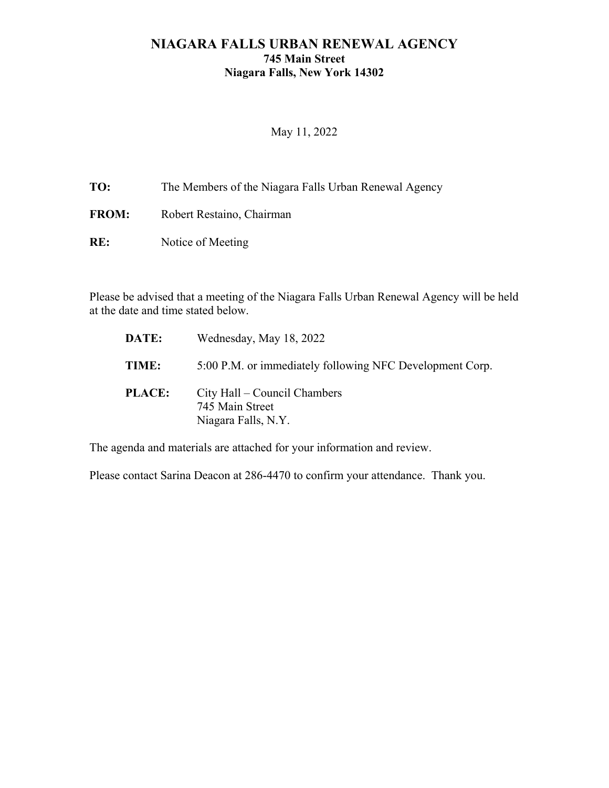## **NIAGARA FALLS URBAN RENEWAL AGENCY 745 Main Street Niagara Falls, New York 14302**

## May 11, 2022

**TO:** The Members of the Niagara Falls Urban Renewal Agency **FROM:** Robert Restaino, Chairman **RE:** Notice of Meeting

Please be advised that a meeting of the Niagara Falls Urban Renewal Agency will be held at the date and time stated below.

| DATE:         | Wednesday, May 18, 2022                                                |
|---------------|------------------------------------------------------------------------|
| TIME:         | 5:00 P.M. or immediately following NFC Development Corp.               |
| <b>PLACE:</b> | City Hall – Council Chambers<br>745 Main Street<br>Niagara Falls, N.Y. |

The agenda and materials are attached for your information and review.

Please contact Sarina Deacon at 286-4470 to confirm your attendance. Thank you.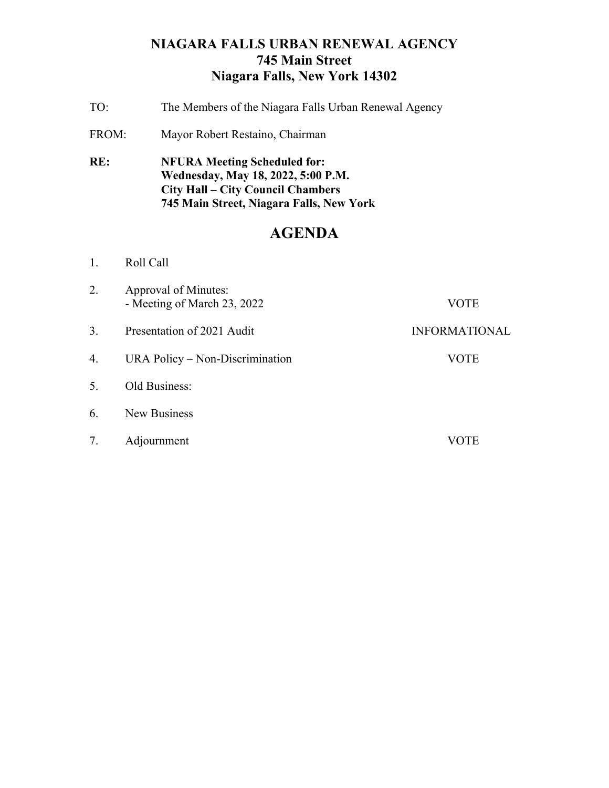## **NIAGARA FALLS URBAN RENEWAL AGENCY 745 Main Street Niagara Falls, New York 14302**

- TO: The Members of the Niagara Falls Urban Renewal Agency
- FROM: Mayor Robert Restaino, Chairman

**RE: NFURA Meeting Scheduled for: Wednesday, May 18, 2022, 5:00 P.M. City Hall – City Council Chambers 745 Main Street, Niagara Falls, New York** 

# **AGENDA**

1. Roll Call

| 2. | Approval of Minutes:<br>- Meeting of March 23, 2022 | <b>VOTE</b>          |
|----|-----------------------------------------------------|----------------------|
| 3. | Presentation of 2021 Audit                          | <b>INFORMATIONAL</b> |
| 4. | URA Policy $-$ Non-Discrimination                   | <b>VOTE</b>          |
| 5. | Old Business:                                       |                      |
| 6. | New Business                                        |                      |
| 7. | Adjournment                                         | VOTE                 |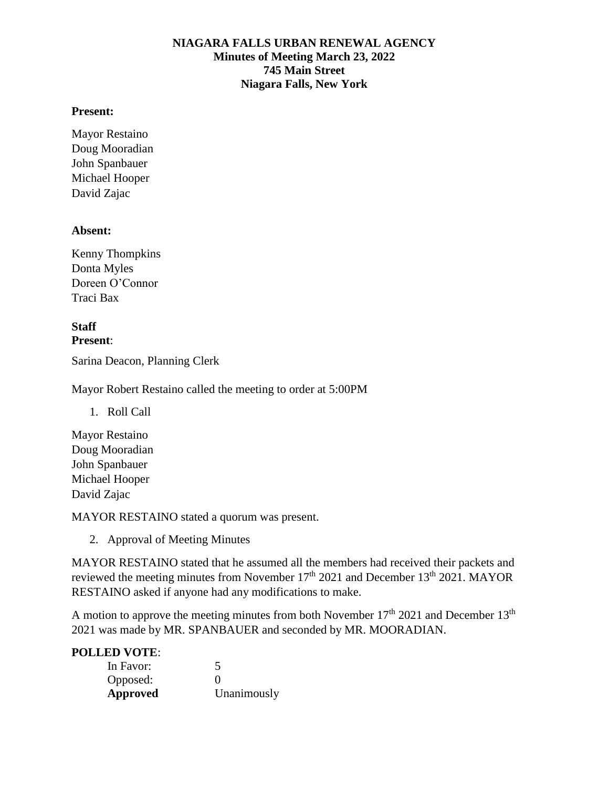### **Present:**

Mayor Restaino Doug Mooradian John Spanbauer Michael Hooper David Zajac

### **Absent:**

Kenny Thompkins Donta Myles Doreen O'Connor Traci Bax

#### **Staff Present**:

Sarina Deacon, Planning Clerk

Mayor Robert Restaino called the meeting to order at 5:00PM

1. Roll Call

Mayor Restaino Doug Mooradian John Spanbauer Michael Hooper David Zajac

MAYOR RESTAINO stated a quorum was present.

2. Approval of Meeting Minutes

MAYOR RESTAINO stated that he assumed all the members had received their packets and reviewed the meeting minutes from November  $17<sup>th</sup> 2021$  and December  $13<sup>th</sup> 2021$ . MAYOR RESTAINO asked if anyone had any modifications to make.

A motion to approve the meeting minutes from both November 17<sup>th</sup> 2021 and December 13<sup>th</sup> 2021 was made by MR. SPANBAUER and seconded by MR. MOORADIAN.

### **POLLED VOTE**:

| In Favor: | C.                |
|-----------|-------------------|
| Opposed:  | $\mathbf{\Omega}$ |
| Approved  | Unanimously       |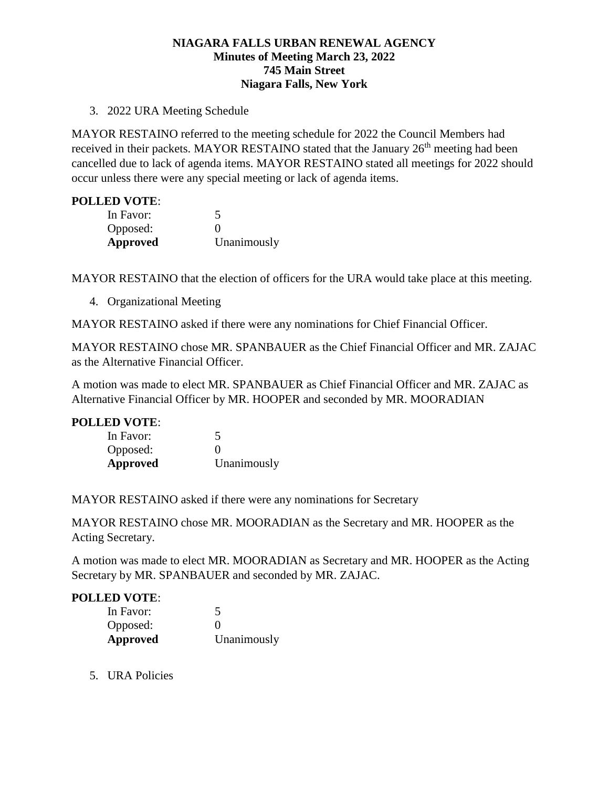3. 2022 URA Meeting Schedule

MAYOR RESTAINO referred to the meeting schedule for 2022 the Council Members had received in their packets. MAYOR RESTAINO stated that the January 26<sup>th</sup> meeting had been cancelled due to lack of agenda items. MAYOR RESTAINO stated all meetings for 2022 should occur unless there were any special meeting or lack of agenda items.

### **POLLED VOTE**:

| In Favor: | $\mathcal{D}$     |
|-----------|-------------------|
| Opposed:  | $\mathbf{\Omega}$ |
| Approved  | Unanimously       |

MAYOR RESTAINO that the election of officers for the URA would take place at this meeting.

4. Organizational Meeting

MAYOR RESTAINO asked if there were any nominations for Chief Financial Officer.

MAYOR RESTAINO chose MR. SPANBAUER as the Chief Financial Officer and MR. ZAJAC as the Alternative Financial Officer.

A motion was made to elect MR. SPANBAUER as Chief Financial Officer and MR. ZAJAC as Alternative Financial Officer by MR. HOOPER and seconded by MR. MOORADIAN

### **POLLED VOTE**:

| In Favor: |                   |
|-----------|-------------------|
| Opposed:  | $\mathbf{\Omega}$ |
| Approved  | Unanimously       |

MAYOR RESTAINO asked if there were any nominations for Secretary

MAYOR RESTAINO chose MR. MOORADIAN as the Secretary and MR. HOOPER as the Acting Secretary.

A motion was made to elect MR. MOORADIAN as Secretary and MR. HOOPER as the Acting Secretary by MR. SPANBAUER and seconded by MR. ZAJAC.

### **POLLED VOTE**:

| In Favor: | C.           |
|-----------|--------------|
| Opposed:  | $\mathbf{0}$ |
| Approved  | Unanimously  |

5. URA Policies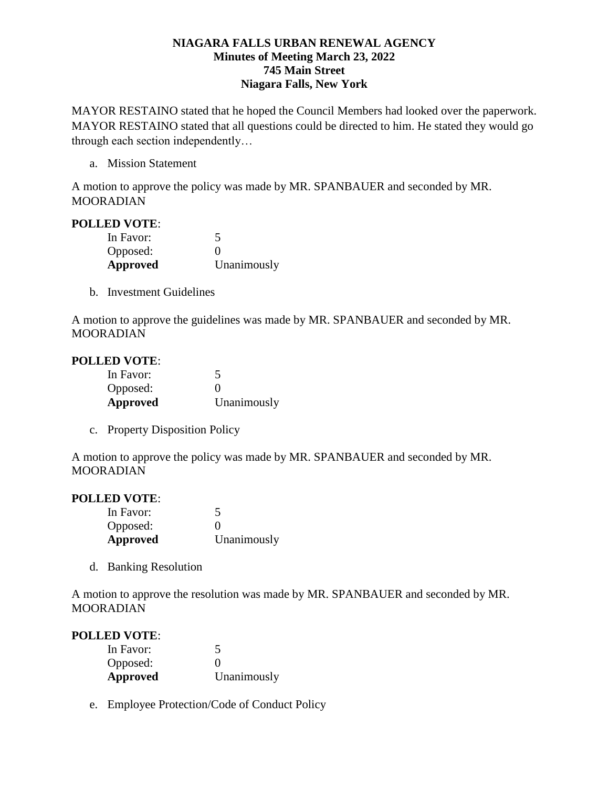MAYOR RESTAINO stated that he hoped the Council Members had looked over the paperwork. MAYOR RESTAINO stated that all questions could be directed to him. He stated they would go through each section independently…

a. Mission Statement

A motion to approve the policy was made by MR. SPANBAUER and seconded by MR. MOORADIAN

## **POLLED VOTE**:

| In Favor: | $\mathcal{L}$     |
|-----------|-------------------|
| Opposed:  | $\mathbf{\Omega}$ |
| Approved  | Unanimously       |

b. Investment Guidelines

A motion to approve the guidelines was made by MR. SPANBAUER and seconded by MR. MOORADIAN

## **POLLED VOTE**:

| In Favor: | $\mathcal{D}$     |
|-----------|-------------------|
| Opposed:  | $\mathbf{\Omega}$ |
| Approved  | Unanimously       |

c. Property Disposition Policy

A motion to approve the policy was made by MR. SPANBAUER and seconded by MR. MOORADIAN

### **POLLED VOTE**:

| In Favor: | C                 |
|-----------|-------------------|
| Opposed:  | $\mathbf{\Omega}$ |
| Approved  | Unanimously       |

d. Banking Resolution

A motion to approve the resolution was made by MR. SPANBAUER and seconded by MR. MOORADIAN

### **POLLED VOTE**:

| In Favor: |             |
|-----------|-------------|
| Opposed:  | $\theta$    |
| Approved  | Unanimously |

e. Employee Protection/Code of Conduct Policy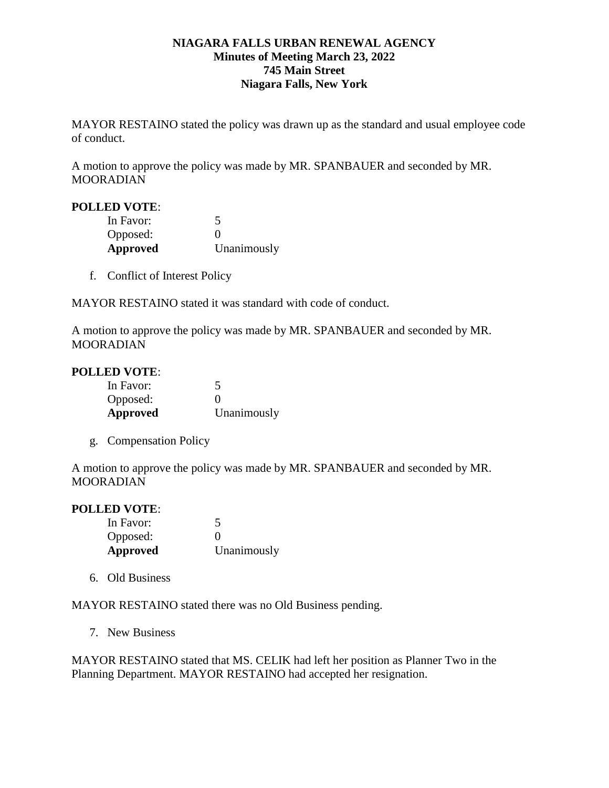MAYOR RESTAINO stated the policy was drawn up as the standard and usual employee code of conduct.

A motion to approve the policy was made by MR. SPANBAUER and seconded by MR. MOORADIAN

### **POLLED VOTE**:

| In Favor:       | C            |
|-----------------|--------------|
| Opposed:        | $\mathbf{0}$ |
| <b>Approved</b> | Unanimously  |

f. Conflict of Interest Policy

MAYOR RESTAINO stated it was standard with code of conduct.

A motion to approve the policy was made by MR. SPANBAUER and seconded by MR. MOORADIAN

## **POLLED VOTE**:

| In Favor:       |                   |
|-----------------|-------------------|
| Opposed:        | $\mathbf{\Omega}$ |
| <b>Approved</b> | Unanimously       |

g. Compensation Policy

A motion to approve the policy was made by MR. SPANBAUER and seconded by MR. MOORADIAN

### **POLLED VOTE**:

| In Favor: | C                 |
|-----------|-------------------|
| Opposed:  | $\mathbf{\Omega}$ |
| Approved  | Unanimously       |

6. Old Business

MAYOR RESTAINO stated there was no Old Business pending.

7. New Business

MAYOR RESTAINO stated that MS. CELIK had left her position as Planner Two in the Planning Department. MAYOR RESTAINO had accepted her resignation.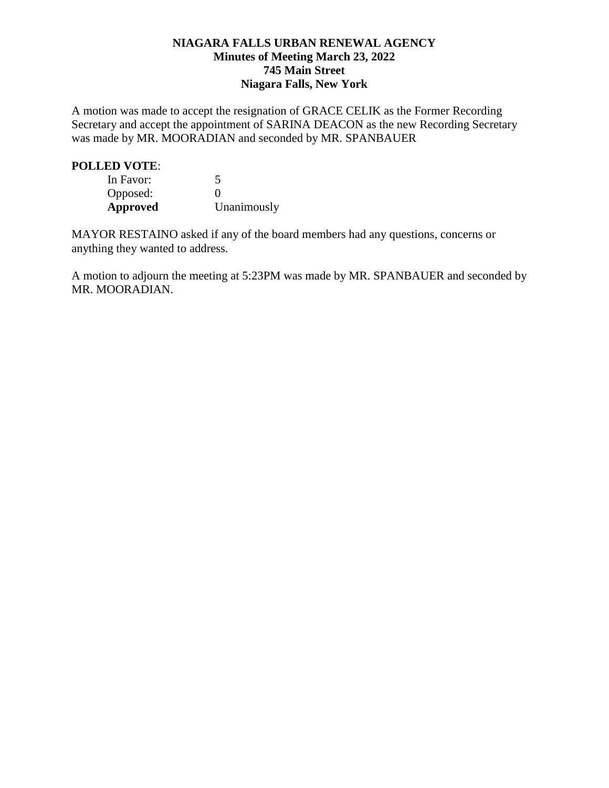A motion was made to accept the resignation of GRACE CELIK as the Former Recording Secretary and accept the appointment of SARINA DEACON as the new Recording Secretary was made by MR. MOORADIAN and seconded by MR. SPANBAUER

| <b>POLLED VOTE:</b> |             |
|---------------------|-------------|
| In Favor:           | 5           |
| Opposed:            | 0           |
| Approved            | Unanimously |

MAYOR RESTAINO asked if any of the board members had any questions, concerns or anything they wanted to address.

A motion to adjourn the meeting at 5:23PM was made by MR. SPANBAUER and seconded by MR. MOORADIAN.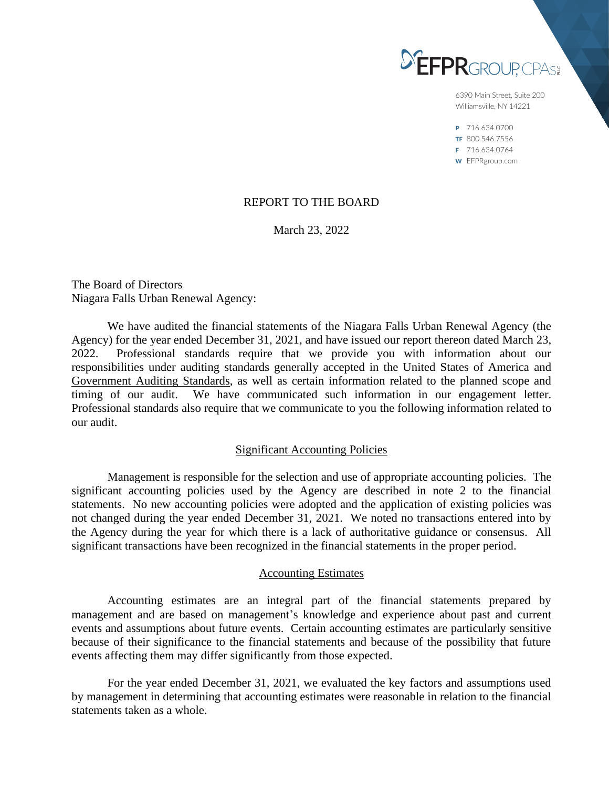

6390 Main Street, Suite 200 Williamsville, NY 14221

P 716.634.0700 TF 800.546.7556 F 716.634.0764 W EFPRgroup.com

### REPORT TO THE BOARD

March 23, 2022

The Board of Directors Niagara Falls Urban Renewal Agency:

We have audited the financial statements of the Niagara Falls Urban Renewal Agency (the Agency) for the year ended December 31, 2021, and have issued our report thereon dated March 23, 2022. Professional standards require that we provide you with information about our responsibilities under auditing standards generally accepted in the United States of America and Government Auditing Standards, as well as certain information related to the planned scope and timing of our audit. We have communicated such information in our engagement letter. Professional standards also require that we communicate to you the following information related to our audit.

### Significant Accounting Policies

Management is responsible for the selection and use of appropriate accounting policies. The significant accounting policies used by the Agency are described in note 2 to the financial statements. No new accounting policies were adopted and the application of existing policies was not changed during the year ended December 31, 2021. We noted no transactions entered into by the Agency during the year for which there is a lack of authoritative guidance or consensus. All significant transactions have been recognized in the financial statements in the proper period.

### Accounting Estimates

Accounting estimates are an integral part of the financial statements prepared by management and are based on management's knowledge and experience about past and current events and assumptions about future events. Certain accounting estimates are particularly sensitive because of their significance to the financial statements and because of the possibility that future events affecting them may differ significantly from those expected.

For the year ended December 31, 2021, we evaluated the key factors and assumptions used by management in determining that accounting estimates were reasonable in relation to the financial statements taken as a whole.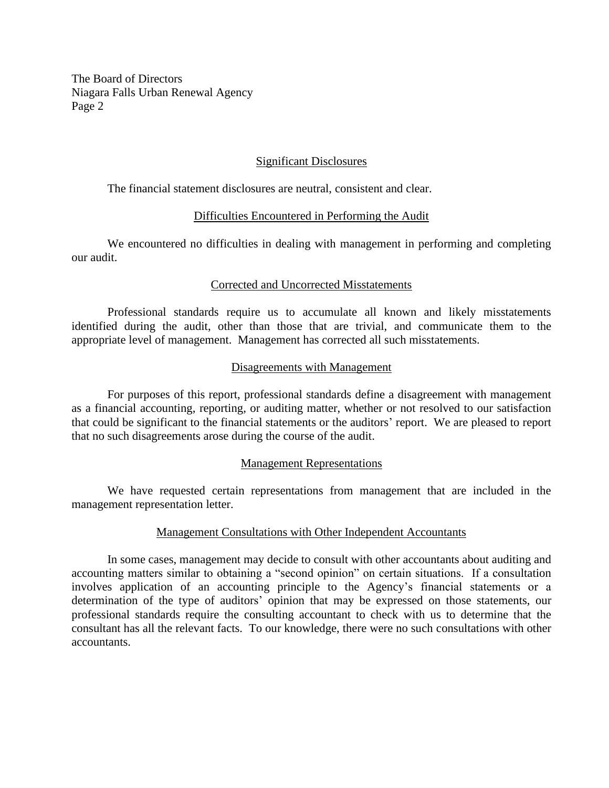The Board of Directors Niagara Falls Urban Renewal Agency Page 2

### Significant Disclosures

The financial statement disclosures are neutral, consistent and clear.

### Difficulties Encountered in Performing the Audit

We encountered no difficulties in dealing with management in performing and completing our audit.

### Corrected and Uncorrected Misstatements

Professional standards require us to accumulate all known and likely misstatements identified during the audit, other than those that are trivial, and communicate them to the appropriate level of management. Management has corrected all such misstatements.

#### Disagreements with Management

For purposes of this report, professional standards define a disagreement with management as a financial accounting, reporting, or auditing matter, whether or not resolved to our satisfaction that could be significant to the financial statements or the auditors' report. We are pleased to report that no such disagreements arose during the course of the audit.

#### Management Representations

We have requested certain representations from management that are included in the management representation letter.

#### Management Consultations with Other Independent Accountants

In some cases, management may decide to consult with other accountants about auditing and accounting matters similar to obtaining a "second opinion" on certain situations. If a consultation involves application of an accounting principle to the Agency's financial statements or a determination of the type of auditors' opinion that may be expressed on those statements, our professional standards require the consulting accountant to check with us to determine that the consultant has all the relevant facts. To our knowledge, there were no such consultations with other accountants.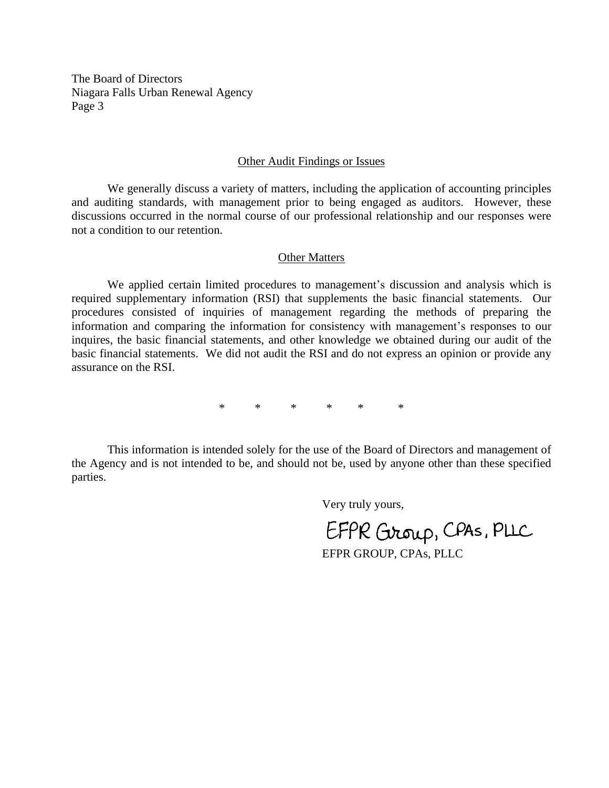The Board of Directors Niagara Falls Urban Renewal Agency Page 3

#### Other Audit Findings or Issues

We generally discuss a variety of matters, including the application of accounting principles and auditing standards, with management prior to being engaged as auditors. However, these discussions occurred in the normal course of our professional relationship and our responses were not a condition to our retention.

#### Other Matters

We applied certain limited procedures to management's discussion and analysis which is required supplementary information (RSI) that supplements the basic financial statements. Our procedures consisted of inquiries of management regarding the methods of preparing the information and comparing the information for consistency with management's responses to our inquires, the basic financial statements, and other knowledge we obtained during our audit of the basic financial statements. We did not audit the RSI and do not express an opinion or provide any assurance on the RSI.

\* \* \* \* \* \*

This information is intended solely for the use of the Board of Directors and management of the Agency and is not intended to be, and should not be, used by anyone other than these specified parties.

Very truly yours,

EFPR Group, CPAS, PLLC

EFPR GROUP, CPAs, PLLC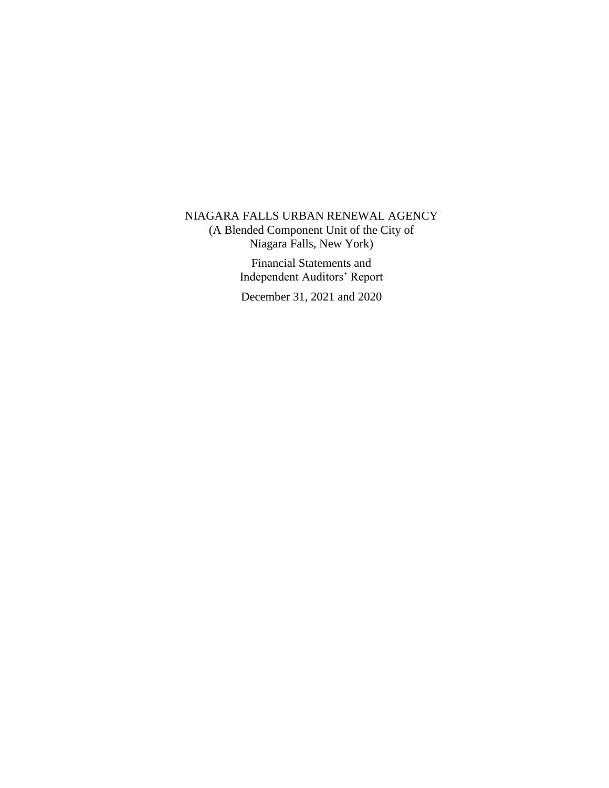> Financial Statements and Independent Auditors' Report

> December 31, 2021 and 2020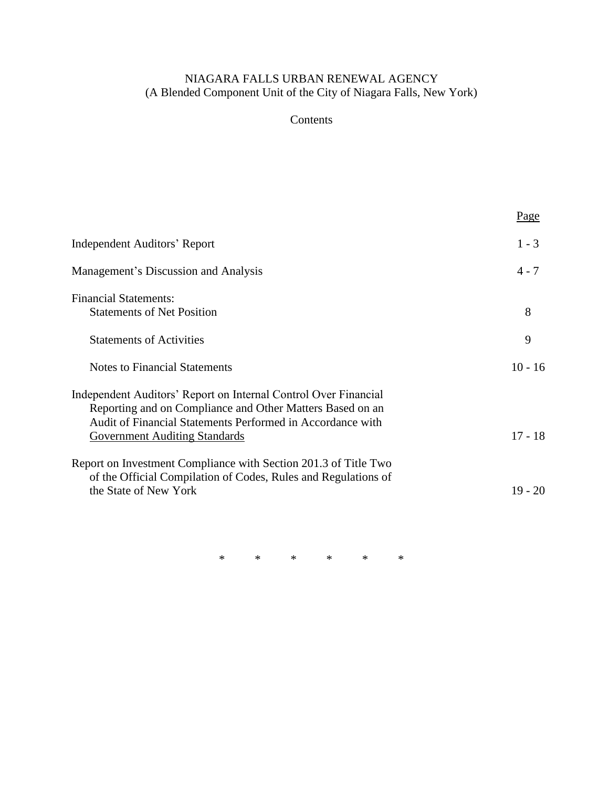Contents

|                                                                                                                                                                                                                                    | <u>Page</u> |
|------------------------------------------------------------------------------------------------------------------------------------------------------------------------------------------------------------------------------------|-------------|
| Independent Auditors' Report                                                                                                                                                                                                       | $1 - 3$     |
| Management's Discussion and Analysis                                                                                                                                                                                               | $4 - 7$     |
| <b>Financial Statements:</b><br><b>Statements of Net Position</b>                                                                                                                                                                  | 8           |
| <b>Statements of Activities</b>                                                                                                                                                                                                    | 9           |
| <b>Notes to Financial Statements</b>                                                                                                                                                                                               | $10 - 16$   |
| Independent Auditors' Report on Internal Control Over Financial<br>Reporting and on Compliance and Other Matters Based on an<br>Audit of Financial Statements Performed in Accordance with<br><b>Government Auditing Standards</b> | $17 - 18$   |
| Report on Investment Compliance with Section 201.3 of Title Two<br>of the Official Compilation of Codes, Rules and Regulations of<br>the State of New York                                                                         | $19 - 20$   |

\* \* \* \* \* \*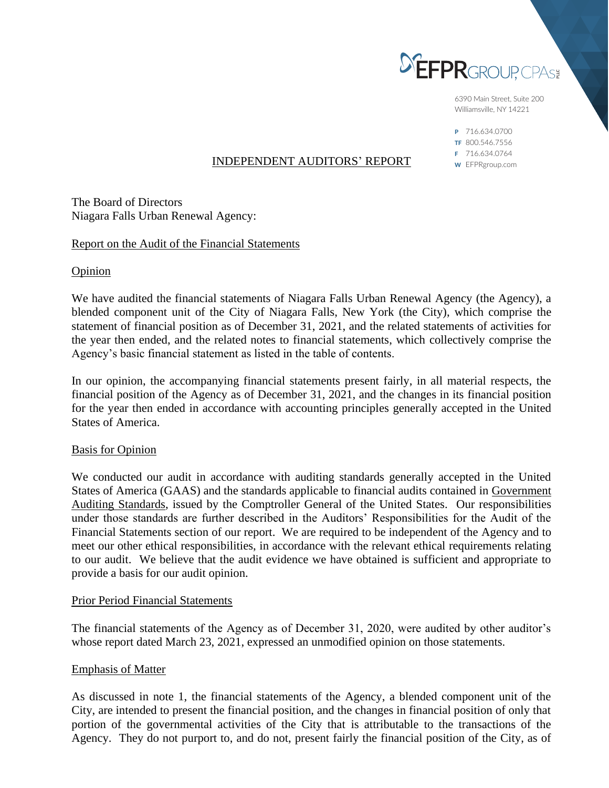

6390 Main Street, Suite 200 Williamsville, NY 14221

P 716.634.0700 TF 800.546.7556 F 716.634.0764 W EFPRgroup.com

## INDEPENDENT AUDITORS' REPORT

The Board of Directors Niagara Falls Urban Renewal Agency:

### Report on the Audit of the Financial Statements

### **Opinion**

We have audited the financial statements of Niagara Falls Urban Renewal Agency (the Agency), a blended component unit of the City of Niagara Falls, New York (the City), which comprise the statement of financial position as of December 31, 2021, and the related statements of activities for the year then ended, and the related notes to financial statements, which collectively comprise the Agency's basic financial statement as listed in the table of contents.

In our opinion, the accompanying financial statements present fairly, in all material respects, the financial position of the Agency as of December 31, 2021, and the changes in its financial position for the year then ended in accordance with accounting principles generally accepted in the United States of America.

### Basis for Opinion

We conducted our audit in accordance with auditing standards generally accepted in the United States of America (GAAS) and the standards applicable to financial audits contained in Government Auditing Standards, issued by the Comptroller General of the United States. Our responsibilities under those standards are further described in the Auditors' Responsibilities for the Audit of the Financial Statements section of our report. We are required to be independent of the Agency and to meet our other ethical responsibilities, in accordance with the relevant ethical requirements relating to our audit. We believe that the audit evidence we have obtained is sufficient and appropriate to provide a basis for our audit opinion.

### Prior Period Financial Statements

The financial statements of the Agency as of December 31, 2020, were audited by other auditor's whose report dated March 23, 2021, expressed an unmodified opinion on those statements.

### Emphasis of Matter

As discussed in note 1, the financial statements of the Agency, a blended component unit of the City, are intended to present the financial position, and the changes in financial position of only that portion of the governmental activities of the City that is attributable to the transactions of the Agency. They do not purport to, and do not, present fairly the financial position of the City, as of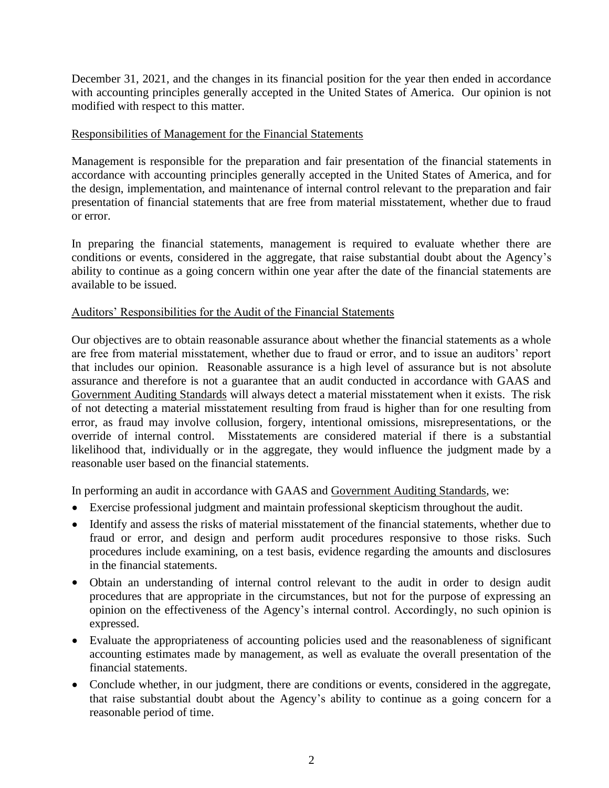December 31, 2021, and the changes in its financial position for the year then ended in accordance with accounting principles generally accepted in the United States of America. Our opinion is not modified with respect to this matter.

### Responsibilities of Management for the Financial Statements

Management is responsible for the preparation and fair presentation of the financial statements in accordance with accounting principles generally accepted in the United States of America, and for the design, implementation, and maintenance of internal control relevant to the preparation and fair presentation of financial statements that are free from material misstatement, whether due to fraud or error.

In preparing the financial statements, management is required to evaluate whether there are conditions or events, considered in the aggregate, that raise substantial doubt about the Agency's ability to continue as a going concern within one year after the date of the financial statements are available to be issued.

## Auditors' Responsibilities for the Audit of the Financial Statements

Our objectives are to obtain reasonable assurance about whether the financial statements as a whole are free from material misstatement, whether due to fraud or error, and to issue an auditors' report that includes our opinion. Reasonable assurance is a high level of assurance but is not absolute assurance and therefore is not a guarantee that an audit conducted in accordance with GAAS and Government Auditing Standards will always detect a material misstatement when it exists. The risk of not detecting a material misstatement resulting from fraud is higher than for one resulting from error, as fraud may involve collusion, forgery, intentional omissions, misrepresentations, or the override of internal control. Misstatements are considered material if there is a substantial likelihood that, individually or in the aggregate, they would influence the judgment made by a reasonable user based on the financial statements.

In performing an audit in accordance with GAAS and Government Auditing Standards, we:

- Exercise professional judgment and maintain professional skepticism throughout the audit.
- Identify and assess the risks of material misstatement of the financial statements, whether due to fraud or error, and design and perform audit procedures responsive to those risks. Such procedures include examining, on a test basis, evidence regarding the amounts and disclosures in the financial statements.
- Obtain an understanding of internal control relevant to the audit in order to design audit procedures that are appropriate in the circumstances, but not for the purpose of expressing an opinion on the effectiveness of the Agency's internal control. Accordingly, no such opinion is expressed.
- Evaluate the appropriateness of accounting policies used and the reasonableness of significant accounting estimates made by management, as well as evaluate the overall presentation of the financial statements.
- Conclude whether, in our judgment, there are conditions or events, considered in the aggregate, that raise substantial doubt about the Agency's ability to continue as a going concern for a reasonable period of time.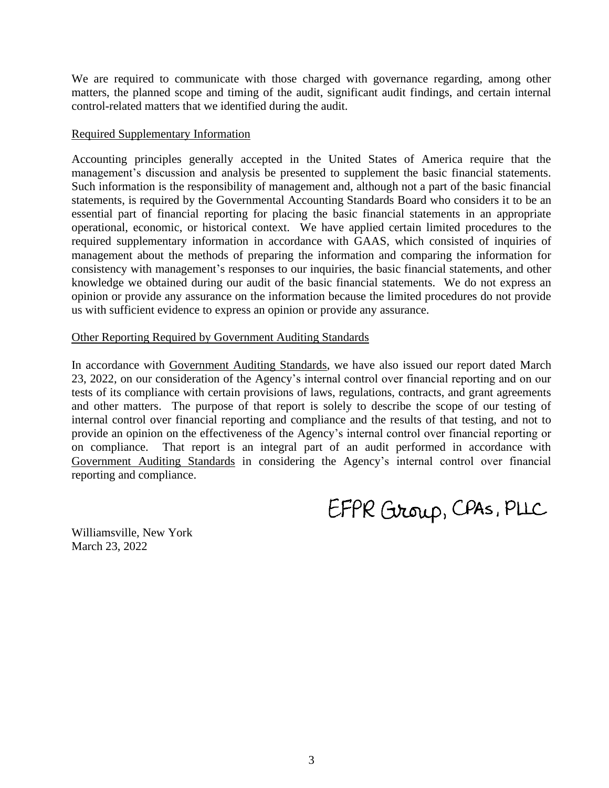We are required to communicate with those charged with governance regarding, among other matters, the planned scope and timing of the audit, significant audit findings, and certain internal control-related matters that we identified during the audit.

### Required Supplementary Information

Accounting principles generally accepted in the United States of America require that the management's discussion and analysis be presented to supplement the basic financial statements. Such information is the responsibility of management and, although not a part of the basic financial statements, is required by the Governmental Accounting Standards Board who considers it to be an essential part of financial reporting for placing the basic financial statements in an appropriate operational, economic, or historical context. We have applied certain limited procedures to the required supplementary information in accordance with GAAS, which consisted of inquiries of management about the methods of preparing the information and comparing the information for consistency with management's responses to our inquiries, the basic financial statements, and other knowledge we obtained during our audit of the basic financial statements. We do not express an opinion or provide any assurance on the information because the limited procedures do not provide us with sufficient evidence to express an opinion or provide any assurance.

### Other Reporting Required by Government Auditing Standards

In accordance with Government Auditing Standards, we have also issued our report dated March 23, 2022, on our consideration of the Agency's internal control over financial reporting and on our tests of its compliance with certain provisions of laws, regulations, contracts, and grant agreements and other matters. The purpose of that report is solely to describe the scope of our testing of internal control over financial reporting and compliance and the results of that testing, and not to provide an opinion on the effectiveness of the Agency's internal control over financial reporting or on compliance. That report is an integral part of an audit performed in accordance with Government Auditing Standards in considering the Agency's internal control over financial reporting and compliance.

EFPR Group, CPAS, PLLC

Williamsville, New York March 23, 2022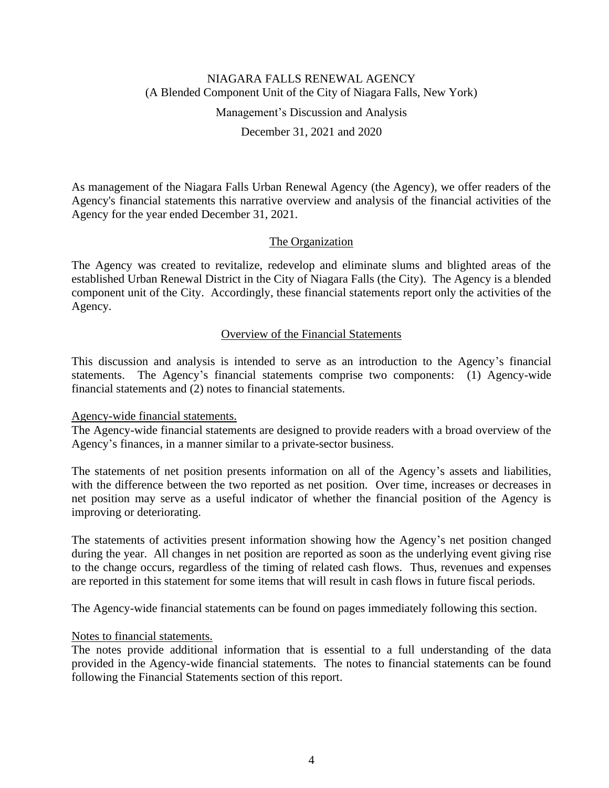Management's Discussion and Analysis

December 31, 2021 and 2020

As management of the Niagara Falls Urban Renewal Agency (the Agency), we offer readers of the Agency's financial statements this narrative overview and analysis of the financial activities of the Agency for the year ended December 31, 2021.

## The Organization

The Agency was created to revitalize, redevelop and eliminate slums and blighted areas of the established Urban Renewal District in the City of Niagara Falls (the City). The Agency is a blended component unit of the City. Accordingly, these financial statements report only the activities of the Agency.

### Overview of the Financial Statements

This discussion and analysis is intended to serve as an introduction to the Agency's financial statements. The Agency's financial statements comprise two components: (1) Agency-wide financial statements and (2) notes to financial statements.

### Agency-wide financial statements.

The Agency-wide financial statements are designed to provide readers with a broad overview of the Agency's finances, in a manner similar to a private-sector business.

The statements of net position presents information on all of the Agency's assets and liabilities, with the difference between the two reported as net position. Over time, increases or decreases in net position may serve as a useful indicator of whether the financial position of the Agency is improving or deteriorating.

The statements of activities present information showing how the Agency's net position changed during the year. All changes in net position are reported as soon as the underlying event giving rise to the change occurs, regardless of the timing of related cash flows. Thus, revenues and expenses are reported in this statement for some items that will result in cash flows in future fiscal periods.

The Agency-wide financial statements can be found on pages immediately following this section.

### Notes to financial statements.

The notes provide additional information that is essential to a full understanding of the data provided in the Agency-wide financial statements. The notes to financial statements can be found following the Financial Statements section of this report.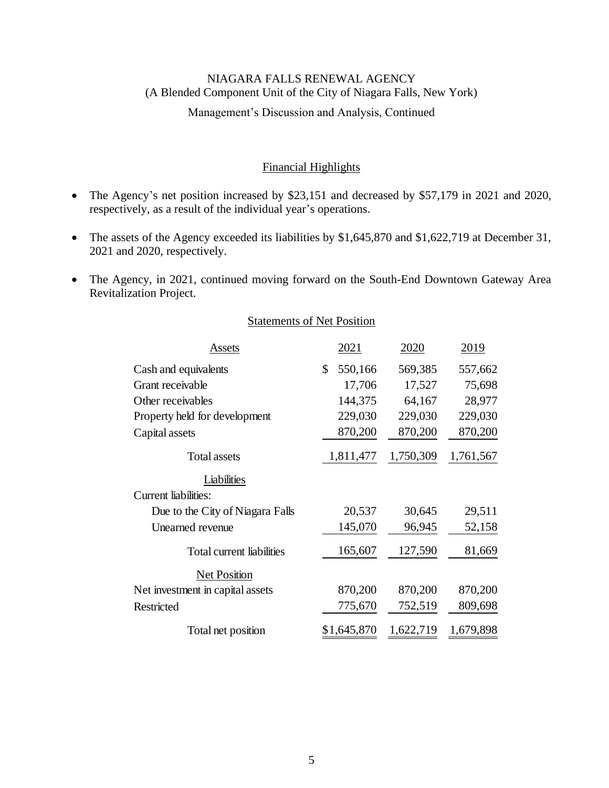### Management's Discussion and Analysis, Continued

### Financial Highlights

- The Agency's net position increased by \$23,151 and decreased by \$57,179 in 2021 and 2020, respectively, as a result of the individual year's operations.
- The assets of the Agency exceeded its liabilities by \$1,645,870 and \$1,622,719 at December 31, 2021 and 2020, respectively.
- The Agency, in 2021, continued moving forward on the South-End Downtown Gateway Area Revitalization Project.

| Assets                           | 2021          | 2020      | 2019      |
|----------------------------------|---------------|-----------|-----------|
| Cash and equivalents             | \$<br>550,166 | 569,385   | 557,662   |
| Grant receivable                 | 17,706        | 17,527    | 75,698    |
| Other receivables                | 144,375       | 64,167    | 28,977    |
| Property held for development    | 229,030       | 229,030   | 229,030   |
| Capital assets                   | 870,200       | 870,200   | 870,200   |
| <b>Total assets</b>              | 1,811,477     | 1,750,309 | 1,761,567 |
| Liabilities                      |               |           |           |
| <b>Current liabilities:</b>      |               |           |           |
| Due to the City of Niagara Falls | 20,537        | 30,645    | 29,511    |
| Unearned revenue                 | 145,070       | 96,945    | 52,158    |
| Total current liabilities        | 165,607       | 127,590   | 81,669    |
| <b>Net Position</b>              |               |           |           |
| Net investment in capital assets | 870,200       | 870,200   | 870,200   |
| Restricted                       | 775,670       | 752,519   | 809,698   |
| Total net position               | \$1,645,870   | 1,622,719 | 1,679,898 |

## **Statements of Net Position**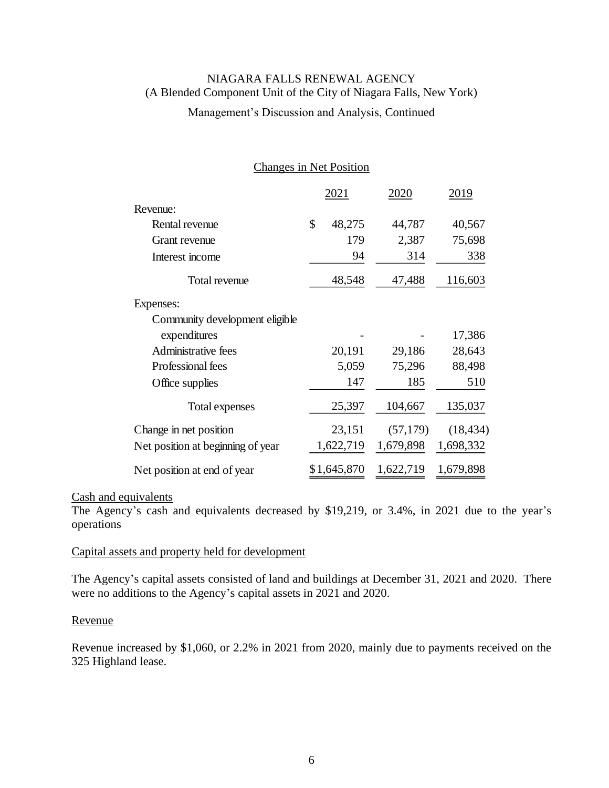## Management's Discussion and Analysis, Continued

| <b>Changes in Net Position</b>    |              |           |           |
|-----------------------------------|--------------|-----------|-----------|
|                                   | 2021         | 2020      | 2019      |
| Revenue:                          |              |           |           |
| Rental revenue                    | \$<br>48,275 | 44,787    | 40,567    |
| Grant revenue                     | 179          | 2,387     | 75,698    |
| Interest income                   | 94           | 314       | 338       |
| Total revenue                     | 48,548       | 47,488    | 116,603   |
| Expenses:                         |              |           |           |
| Community development eligible    |              |           |           |
| expenditures                      |              |           | 17,386    |
| Administrative fees               | 20,191       | 29,186    | 28,643    |
| Professional fees                 | 5,059        | 75,296    | 88,498    |
| Office supplies                   | 147          | 185       | 510       |
| Total expenses                    | 25,397       | 104,667   | 135,037   |
| Change in net position            | 23,151       | (57, 179) | (18, 434) |
| Net position at beginning of year | 1,622,719    | 1,679,898 | 1,698,332 |
| Net position at end of year       | \$1,645,870  | 1,622,719 | 1,679,898 |

### Cash and equivalents

The Agency's cash and equivalents decreased by \$19,219, or 3.4%, in 2021 due to the year's operations

### Capital assets and property held for development

The Agency's capital assets consisted of land and buildings at December 31, 2021 and 2020. There were no additions to the Agency's capital assets in 2021 and 2020.

### Revenue

Revenue increased by \$1,060, or 2.2% in 2021 from 2020, mainly due to payments received on the 325 Highland lease.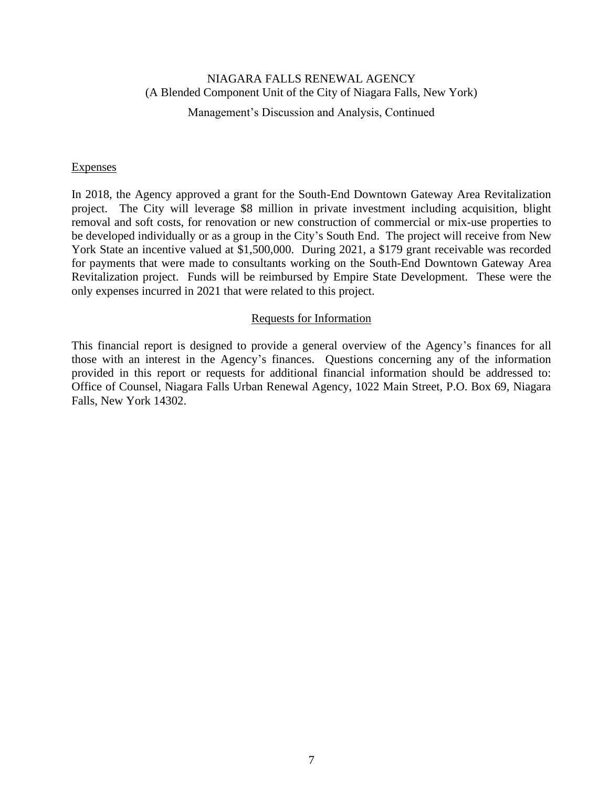Management's Discussion and Analysis, Continued

### Expenses

In 2018, the Agency approved a grant for the South-End Downtown Gateway Area Revitalization project. The City will leverage \$8 million in private investment including acquisition, blight removal and soft costs, for renovation or new construction of commercial or mix-use properties to be developed individually or as a group in the City's South End. The project will receive from New York State an incentive valued at \$1,500,000. During 2021, a \$179 grant receivable was recorded for payments that were made to consultants working on the South-End Downtown Gateway Area Revitalization project. Funds will be reimbursed by Empire State Development. These were the only expenses incurred in 2021 that were related to this project.

### Requests for Information

This financial report is designed to provide a general overview of the Agency's finances for all those with an interest in the Agency's finances. Questions concerning any of the information provided in this report or requests for additional financial information should be addressed to: Office of Counsel, Niagara Falls Urban Renewal Agency, 1022 Main Street, P.O. Box 69, Niagara Falls, New York 14302.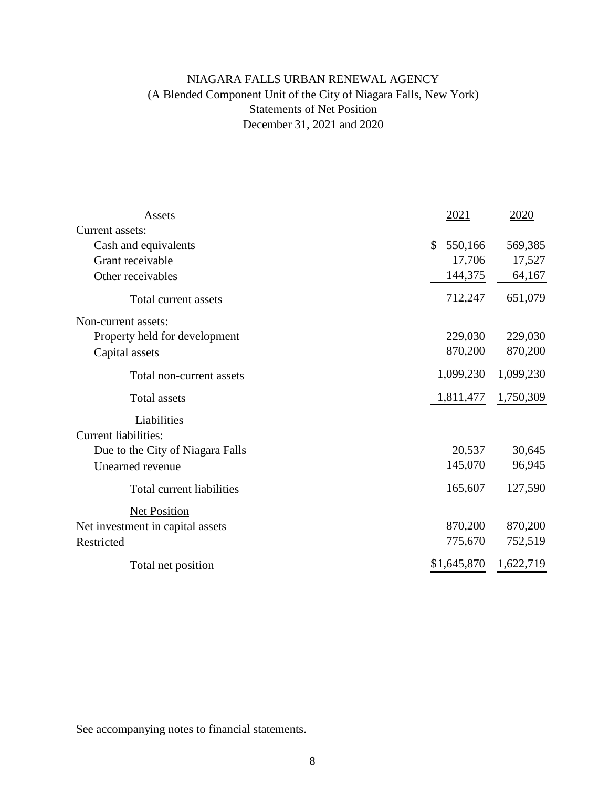## NIAGARA FALLS URBAN RENEWAL AGENCY (A Blended Component Unit of the City of Niagara Falls, New York) Statements of Net Position December 31, 2021 and 2020

| Assets                           | 2021                    | 2020      |
|----------------------------------|-------------------------|-----------|
| Current assets:                  |                         |           |
| Cash and equivalents             | $\mathbb{S}$<br>550,166 | 569,385   |
| Grant receivable                 | 17,706                  | 17,527    |
| Other receivables                | 144,375                 | 64,167    |
| Total current assets             | 712,247                 | 651,079   |
| Non-current assets:              |                         |           |
| Property held for development    | 229,030                 | 229,030   |
| Capital assets                   | 870,200                 | 870,200   |
| Total non-current assets         | 1,099,230               | 1,099,230 |
| <b>Total assets</b>              | 1,811,477               | 1,750,309 |
| Liabilities                      |                         |           |
| <b>Current liabilities:</b>      |                         |           |
| Due to the City of Niagara Falls | 20,537                  | 30,645    |
| Unearned revenue                 | 145,070                 | 96,945    |
| Total current liabilities        | 165,607                 | 127,590   |
| <b>Net Position</b>              |                         |           |
| Net investment in capital assets | 870,200                 | 870,200   |
| Restricted                       | 775,670                 | 752,519   |
| Total net position               | \$1,645,870             | 1,622,719 |

See accompanying notes to financial statements.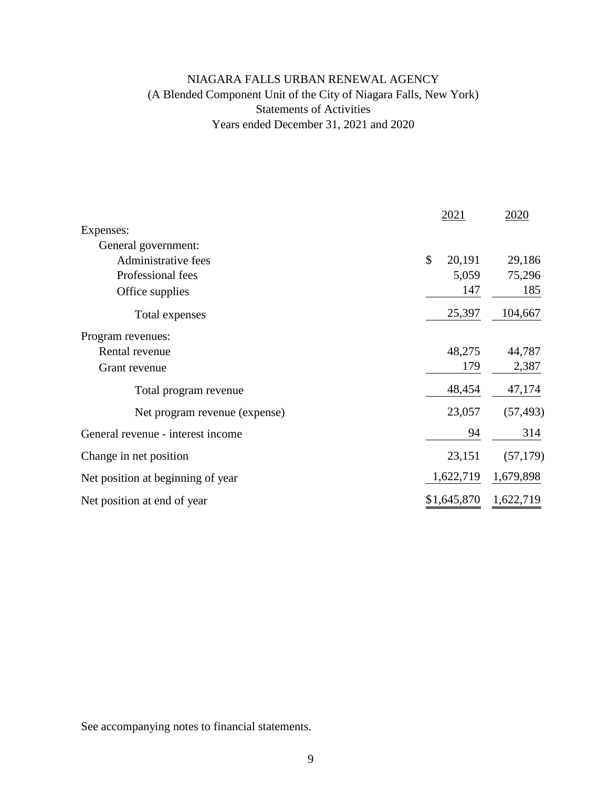## NIAGARA FALLS URBAN RENEWAL AGENCY (A Blended Component Unit of the City of Niagara Falls, New York) Statements of Activities Years ended December 31, 2021 and 2020

|                                   | 2021         | 2020      |
|-----------------------------------|--------------|-----------|
| Expenses:                         |              |           |
| General government:               |              |           |
| Administrative fees               | \$<br>20,191 | 29,186    |
| Professional fees                 | 5,059        | 75,296    |
| Office supplies                   | 147          | 185       |
| Total expenses                    | 25,397       | 104,667   |
| Program revenues:                 |              |           |
| Rental revenue                    | 48,275       | 44,787    |
| Grant revenue                     | 179          | 2,387     |
| Total program revenue             | 48,454       | 47,174    |
| Net program revenue (expense)     | 23,057       | (57, 493) |
| General revenue - interest income | 94           | 314       |
| Change in net position            | 23,151       | (57, 179) |
| Net position at beginning of year | 1,622,719    | 1,679,898 |
| Net position at end of year       | \$1,645,870  | 1,622,719 |

See accompanying notes to financial statements.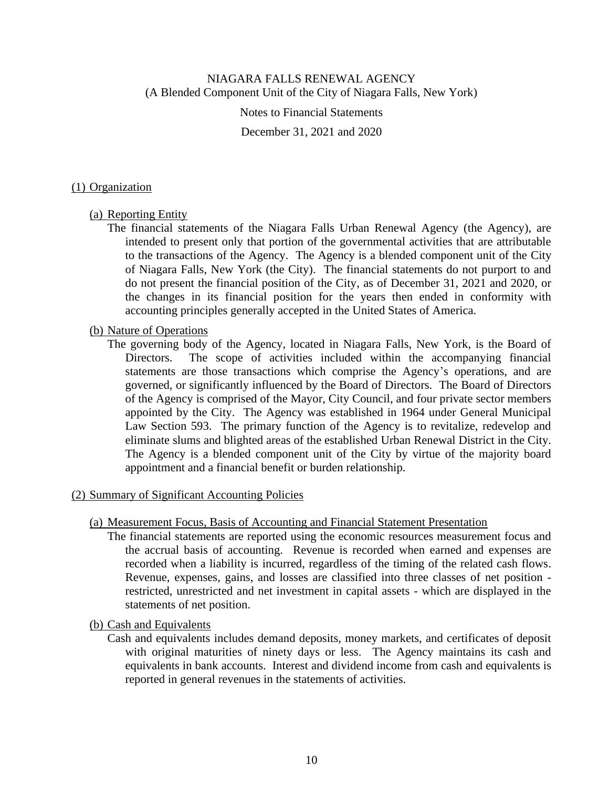### Notes to Financial Statements

December 31, 2021 and 2020

### (1) Organization

### (a) Reporting Entity

The financial statements of the Niagara Falls Urban Renewal Agency (the Agency), are intended to present only that portion of the governmental activities that are attributable to the transactions of the Agency. The Agency is a blended component unit of the City of Niagara Falls, New York (the City). The financial statements do not purport to and do not present the financial position of the City, as of December 31, 2021 and 2020, or the changes in its financial position for the years then ended in conformity with accounting principles generally accepted in the United States of America.

### (b) Nature of Operations

The governing body of the Agency, located in Niagara Falls, New York, is the Board of Directors. The scope of activities included within the accompanying financial statements are those transactions which comprise the Agency's operations, and are governed, or significantly influenced by the Board of Directors. The Board of Directors of the Agency is comprised of the Mayor, City Council, and four private sector members appointed by the City. The Agency was established in 1964 under General Municipal Law Section 593. The primary function of the Agency is to revitalize, redevelop and eliminate slums and blighted areas of the established Urban Renewal District in the City. The Agency is a blended component unit of the City by virtue of the majority board appointment and a financial benefit or burden relationship.

### (2) Summary of Significant Accounting Policies

- (a) Measurement Focus, Basis of Accounting and Financial Statement Presentation
	- The financial statements are reported using the economic resources measurement focus and the accrual basis of accounting. Revenue is recorded when earned and expenses are recorded when a liability is incurred, regardless of the timing of the related cash flows. Revenue, expenses, gains, and losses are classified into three classes of net position restricted, unrestricted and net investment in capital assets - which are displayed in the statements of net position.

(b) Cash and Equivalents

Cash and equivalents includes demand deposits, money markets, and certificates of deposit with original maturities of ninety days or less. The Agency maintains its cash and equivalents in bank accounts. Interest and dividend income from cash and equivalents is reported in general revenues in the statements of activities.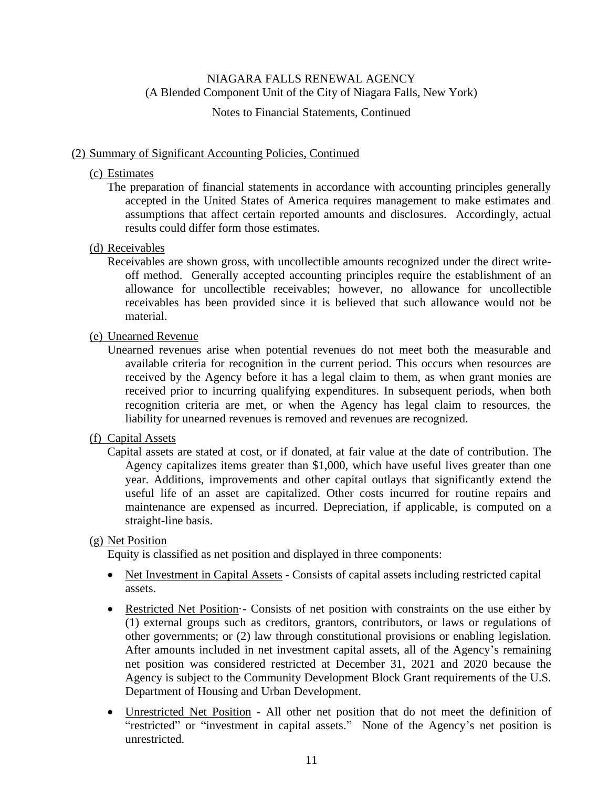## Notes to Financial Statements, Continued

## (2) Summary of Significant Accounting Policies, Continued

## (c) Estimates

The preparation of financial statements in accordance with accounting principles generally accepted in the United States of America requires management to make estimates and assumptions that affect certain reported amounts and disclosures. Accordingly, actual results could differ form those estimates.

## (d) Receivables

Receivables are shown gross, with uncollectible amounts recognized under the direct writeoff method. Generally accepted accounting principles require the establishment of an allowance for uncollectible receivables; however, no allowance for uncollectible receivables has been provided since it is believed that such allowance would not be material.

## (e) Unearned Revenue

Unearned revenues arise when potential revenues do not meet both the measurable and available criteria for recognition in the current period. This occurs when resources are received by the Agency before it has a legal claim to them, as when grant monies are received prior to incurring qualifying expenditures. In subsequent periods, when both recognition criteria are met, or when the Agency has legal claim to resources, the liability for unearned revenues is removed and revenues are recognized.

## (f) Capital Assets

Capital assets are stated at cost, or if donated, at fair value at the date of contribution. The Agency capitalizes items greater than \$1,000, which have useful lives greater than one year. Additions, improvements and other capital outlays that significantly extend the useful life of an asset are capitalized. Other costs incurred for routine repairs and maintenance are expensed as incurred. Depreciation, if applicable, is computed on a straight-line basis.

## (g) Net Position

Equity is classified as net position and displayed in three components:

- Net Investment in Capital Assets Consists of capital assets including restricted capital assets.
- Restricted Net Position Consists of net position with constraints on the use either by (1) external groups such as creditors, grantors, contributors, or laws or regulations of other governments; or (2) law through constitutional provisions or enabling legislation. After amounts included in net investment capital assets, all of the Agency's remaining net position was considered restricted at December 31, 2021 and 2020 because the Agency is subject to the Community Development Block Grant requirements of the U.S. Department of Housing and Urban Development.
- Unrestricted Net Position All other net position that do not meet the definition of "restricted" or "investment in capital assets." None of the Agency's net position is unrestricted.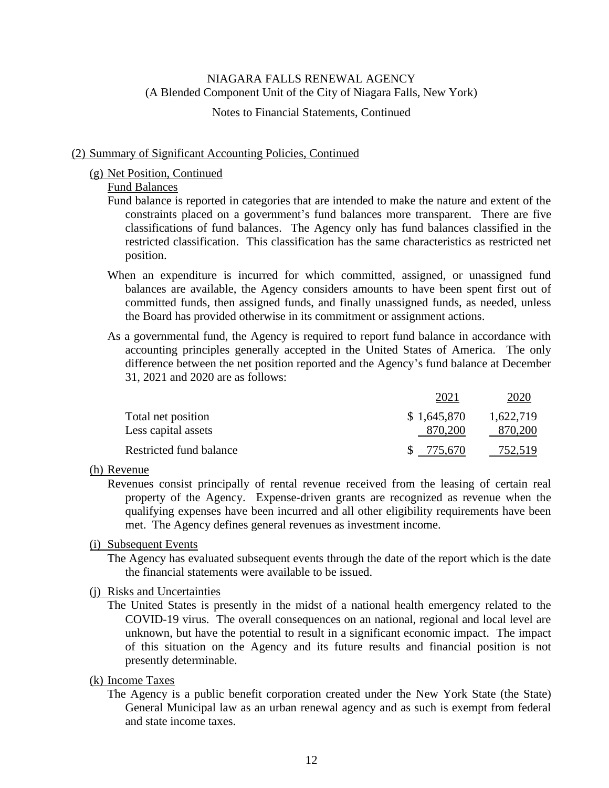### Notes to Financial Statements, Continued

### (2) Summary of Significant Accounting Policies, Continued

### (g) Net Position, Continued

### Fund Balances

Fund balance is reported in categories that are intended to make the nature and extent of the constraints placed on a government's fund balances more transparent. There are five classifications of fund balances. The Agency only has fund balances classified in the restricted classification. This classification has the same characteristics as restricted net position.

- When an expenditure is incurred for which committed, assigned, or unassigned fund balances are available, the Agency considers amounts to have been spent first out of committed funds, then assigned funds, and finally unassigned funds, as needed, unless the Board has provided otherwise in its commitment or assignment actions.
- As a governmental fund, the Agency is required to report fund balance in accordance with accounting principles generally accepted in the United States of America. The only difference between the net position reported and the Agency's fund balance at December 31, 2021 and 2020 are as follows:

|                         | 2021        | 2020      |
|-------------------------|-------------|-----------|
| Total net position      | \$1,645,870 | 1,622,719 |
| Less capital assets     | 870,200     | 870,200   |
| Restricted fund balance | \$ 775,670  | 752,519   |

### (h) Revenue

Revenues consist principally of rental revenue received from the leasing of certain real property of the Agency. Expense-driven grants are recognized as revenue when the qualifying expenses have been incurred and all other eligibility requirements have been met. The Agency defines general revenues as investment income.

### (i) Subsequent Events

The Agency has evaluated subsequent events through the date of the report which is the date the financial statements were available to be issued.

### (j) Risks and Uncertainties

The United States is presently in the midst of a national health emergency related to the COVID-19 virus. The overall consequences on an national, regional and local level are unknown, but have the potential to result in a significant economic impact. The impact of this situation on the Agency and its future results and financial position is not presently determinable.

### (k) Income Taxes

The Agency is a public benefit corporation created under the New York State (the State) General Municipal law as an urban renewal agency and as such is exempt from federal and state income taxes.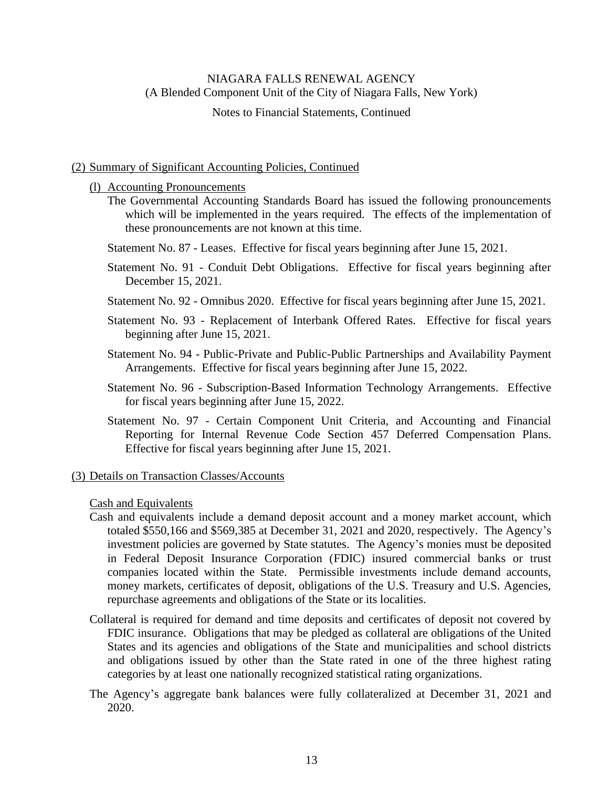### Notes to Financial Statements, Continued

### (2) Summary of Significant Accounting Policies, Continued

### (l) Accounting Pronouncements

- The Governmental Accounting Standards Board has issued the following pronouncements which will be implemented in the years required. The effects of the implementation of these pronouncements are not known at this time.
- Statement No. 87 Leases. Effective for fiscal years beginning after June 15, 2021.
- Statement No. 91 Conduit Debt Obligations. Effective for fiscal years beginning after December 15, 2021.
- Statement No. 92 Omnibus 2020. Effective for fiscal years beginning after June 15, 2021.
- Statement No. 93 Replacement of Interbank Offered Rates. Effective for fiscal years beginning after June 15, 2021.
- Statement No. 94 Public-Private and Public-Public Partnerships and Availability Payment Arrangements. Effective for fiscal years beginning after June 15, 2022.
- Statement No. 96 Subscription-Based Information Technology Arrangements. Effective for fiscal years beginning after June 15, 2022.
- Statement No. 97 Certain Component Unit Criteria, and Accounting and Financial Reporting for Internal Revenue Code Section 457 Deferred Compensation Plans. Effective for fiscal years beginning after June 15, 2021.

### (3) Details on Transaction Classes/Accounts

### Cash and Equivalents

- Cash and equivalents include a demand deposit account and a money market account, which totaled \$550,166 and \$569,385 at December 31, 2021 and 2020, respectively. The Agency's investment policies are governed by State statutes. The Agency's monies must be deposited in Federal Deposit Insurance Corporation (FDIC) insured commercial banks or trust companies located within the State. Permissible investments include demand accounts, money markets, certificates of deposit, obligations of the U.S. Treasury and U.S. Agencies, repurchase agreements and obligations of the State or its localities.
- Collateral is required for demand and time deposits and certificates of deposit not covered by FDIC insurance. Obligations that may be pledged as collateral are obligations of the United States and its agencies and obligations of the State and municipalities and school districts and obligations issued by other than the State rated in one of the three highest rating categories by at least one nationally recognized statistical rating organizations.
- The Agency's aggregate bank balances were fully collateralized at December 31, 2021 and 2020.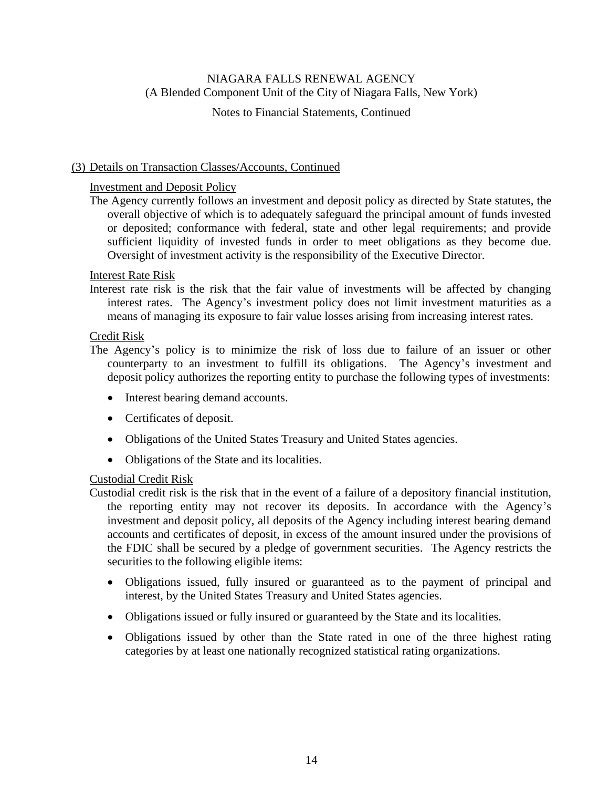## Notes to Financial Statements, Continued

## (3) Details on Transaction Classes/Accounts, Continued

## Investment and Deposit Policy

The Agency currently follows an investment and deposit policy as directed by State statutes, the overall objective of which is to adequately safeguard the principal amount of funds invested or deposited; conformance with federal, state and other legal requirements; and provide sufficient liquidity of invested funds in order to meet obligations as they become due. Oversight of investment activity is the responsibility of the Executive Director.

## Interest Rate Risk

Interest rate risk is the risk that the fair value of investments will be affected by changing interest rates. The Agency's investment policy does not limit investment maturities as a means of managing its exposure to fair value losses arising from increasing interest rates.

### Credit Risk

- The Agency's policy is to minimize the risk of loss due to failure of an issuer or other counterparty to an investment to fulfill its obligations. The Agency's investment and deposit policy authorizes the reporting entity to purchase the following types of investments:
	- Interest bearing demand accounts.
	- Certificates of deposit.
	- Obligations of the United States Treasury and United States agencies.
	- Obligations of the State and its localities.

## Custodial Credit Risk

- Custodial credit risk is the risk that in the event of a failure of a depository financial institution, the reporting entity may not recover its deposits. In accordance with the Agency's investment and deposit policy, all deposits of the Agency including interest bearing demand accounts and certificates of deposit, in excess of the amount insured under the provisions of the FDIC shall be secured by a pledge of government securities. The Agency restricts the securities to the following eligible items:
	- Obligations issued, fully insured or guaranteed as to the payment of principal and interest, by the United States Treasury and United States agencies.
	- Obligations issued or fully insured or guaranteed by the State and its localities.
	- Obligations issued by other than the State rated in one of the three highest rating categories by at least one nationally recognized statistical rating organizations.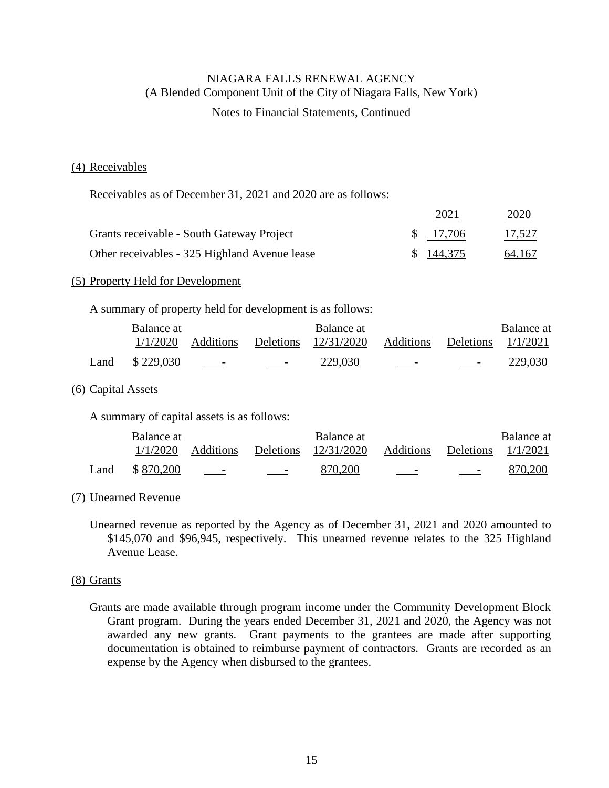### Notes to Financial Statements, Continued

### (4) Receivables

Receivables as of December 31, 2021 and 2020 are as follows:

|                                               | 2021      | 2020          |
|-----------------------------------------------|-----------|---------------|
| Grants receivable - South Gateway Project     | \$17,706  | <u>17,527</u> |
| Other receivables - 325 Highland Avenue lease | \$144,375 | <u>64,167</u> |

### (5) Property Held for Development

A summary of property held for development is as follows:

|      | Balance at<br>1/1/2020 | <b>Additions</b> |            | Balance at<br>Deletions 12/31/2020 | <b>Additions</b> |                          | Balance at |
|------|------------------------|------------------|------------|------------------------------------|------------------|--------------------------|------------|
|      |                        |                  |            |                                    |                  | Deletions $1/1/2021$     |            |
| Land | \$229,030              |                  | $\sim$ $-$ | 229,030                            | $\sim$ $\sim$    | $\overline{\phantom{0}}$ | 229,030    |

### (6) Capital Assets

A summary of capital assets is as follows:

|      | Balance at |                          |                   | Balance at           |                          |                      | Balance at |  |  |
|------|------------|--------------------------|-------------------|----------------------|--------------------------|----------------------|------------|--|--|
|      | 1/1/2020   | <b>Additions</b>         |                   | Deletions 12/31/2020 | Additions                | Deletions            | 1/1/2021   |  |  |
| Land | \$870,200  | $\overline{\phantom{0}}$ | $\equiv$ $\equiv$ | 870,200              | $\overline{\phantom{a}}$ | $\sim$ $\sim$ $\sim$ | 870,200    |  |  |

(7) Unearned Revenue

Unearned revenue as reported by the Agency as of December 31, 2021 and 2020 amounted to \$145,070 and \$96,945, respectively. This unearned revenue relates to the 325 Highland Avenue Lease.

### (8) Grants

Grants are made available through program income under the Community Development Block Grant program. During the years ended December 31, 2021 and 2020, the Agency was not awarded any new grants. Grant payments to the grantees are made after supporting documentation is obtained to reimburse payment of contractors. Grants are recorded as an expense by the Agency when disbursed to the grantees.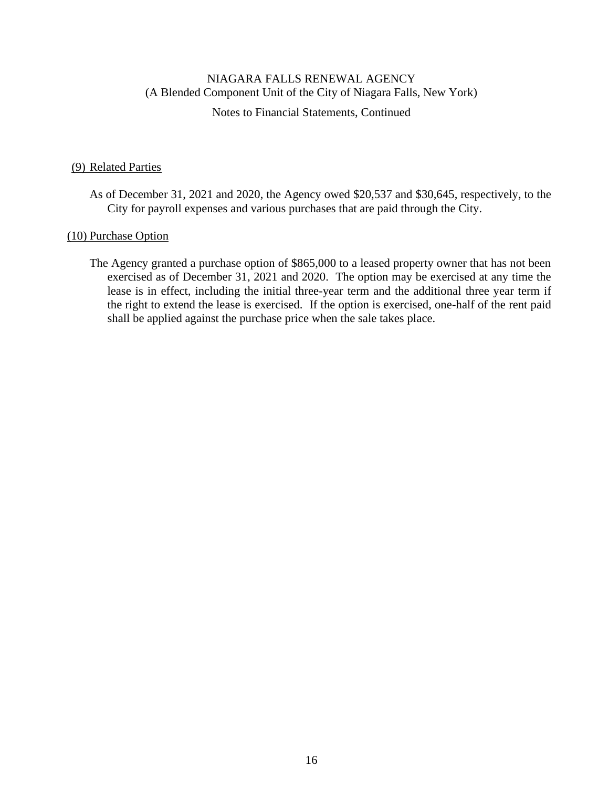### Notes to Financial Statements, Continued

### (9) Related Parties

As of December 31, 2021 and 2020, the Agency owed \$20,537 and \$30,645, respectively, to the City for payroll expenses and various purchases that are paid through the City.

### (10) Purchase Option

The Agency granted a purchase option of \$865,000 to a leased property owner that has not been exercised as of December 31, 2021 and 2020. The option may be exercised at any time the lease is in effect, including the initial three-year term and the additional three year term if the right to extend the lease is exercised. If the option is exercised, one-half of the rent paid shall be applied against the purchase price when the sale takes place.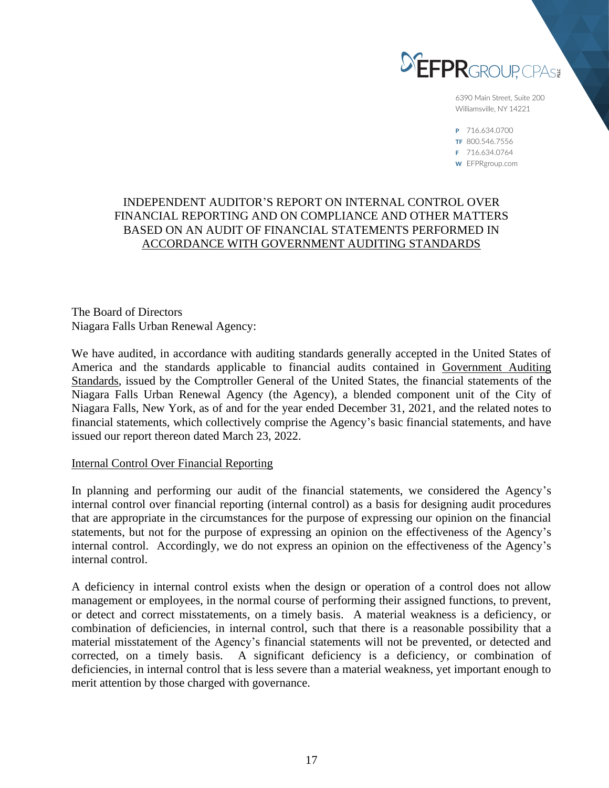

6390 Main Street, Suite 200 Williamsville, NY 14221

P 716.634.0700 TF 800.546.7556 F 716.634.0764 W EFPRgroup.com

## INDEPENDENT AUDITOR'S REPORT ON INTERNAL CONTROL OVER FINANCIAL REPORTING AND ON COMPLIANCE AND OTHER MATTERS BASED ON AN AUDIT OF FINANCIAL STATEMENTS PERFORMED IN ACCORDANCE WITH GOVERNMENT AUDITING STANDARDS

The Board of Directors Niagara Falls Urban Renewal Agency:

We have audited, in accordance with auditing standards generally accepted in the United States of America and the standards applicable to financial audits contained in Government Auditing Standards, issued by the Comptroller General of the United States, the financial statements of the Niagara Falls Urban Renewal Agency (the Agency), a blended component unit of the City of Niagara Falls, New York, as of and for the year ended December 31, 2021, and the related notes to financial statements, which collectively comprise the Agency's basic financial statements, and have issued our report thereon dated March 23, 2022.

### Internal Control Over Financial Reporting

In planning and performing our audit of the financial statements, we considered the Agency's internal control over financial reporting (internal control) as a basis for designing audit procedures that are appropriate in the circumstances for the purpose of expressing our opinion on the financial statements, but not for the purpose of expressing an opinion on the effectiveness of the Agency's internal control. Accordingly, we do not express an opinion on the effectiveness of the Agency's internal control.

A deficiency in internal control exists when the design or operation of a control does not allow management or employees, in the normal course of performing their assigned functions, to prevent, or detect and correct misstatements, on a timely basis. A material weakness is a deficiency, or combination of deficiencies, in internal control, such that there is a reasonable possibility that a material misstatement of the Agency's financial statements will not be prevented, or detected and corrected, on a timely basis. A significant deficiency is a deficiency, or combination of deficiencies, in internal control that is less severe than a material weakness, yet important enough to merit attention by those charged with governance.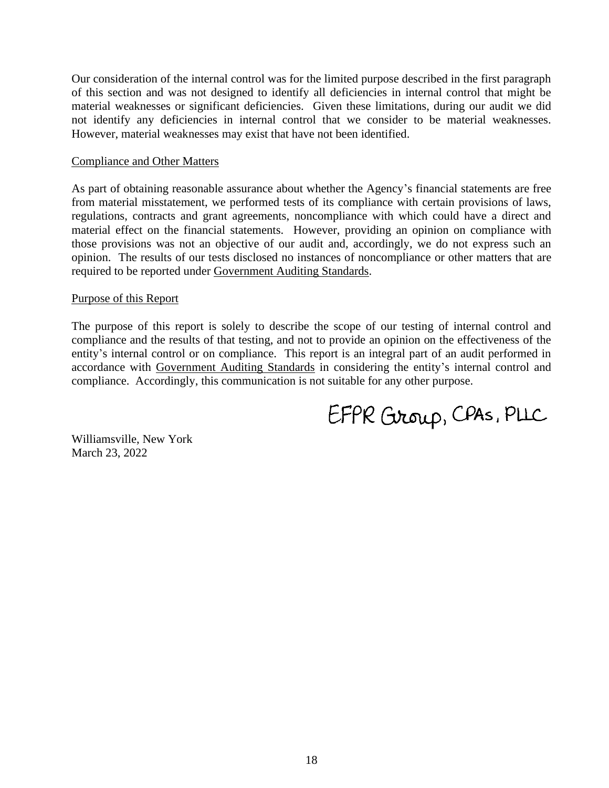Our consideration of the internal control was for the limited purpose described in the first paragraph of this section and was not designed to identify all deficiencies in internal control that might be material weaknesses or significant deficiencies. Given these limitations, during our audit we did not identify any deficiencies in internal control that we consider to be material weaknesses. However, material weaknesses may exist that have not been identified.

### Compliance and Other Matters

As part of obtaining reasonable assurance about whether the Agency's financial statements are free from material misstatement, we performed tests of its compliance with certain provisions of laws, regulations, contracts and grant agreements, noncompliance with which could have a direct and material effect on the financial statements. However, providing an opinion on compliance with those provisions was not an objective of our audit and, accordingly, we do not express such an opinion. The results of our tests disclosed no instances of noncompliance or other matters that are required to be reported under Government Auditing Standards.

### Purpose of this Report

The purpose of this report is solely to describe the scope of our testing of internal control and compliance and the results of that testing, and not to provide an opinion on the effectiveness of the entity's internal control or on compliance. This report is an integral part of an audit performed in accordance with Government Auditing Standards in considering the entity's internal control and compliance. Accordingly, this communication is not suitable for any other purpose.

EFPR Group, CPAS, PLLC

Williamsville, New York March 23, 2022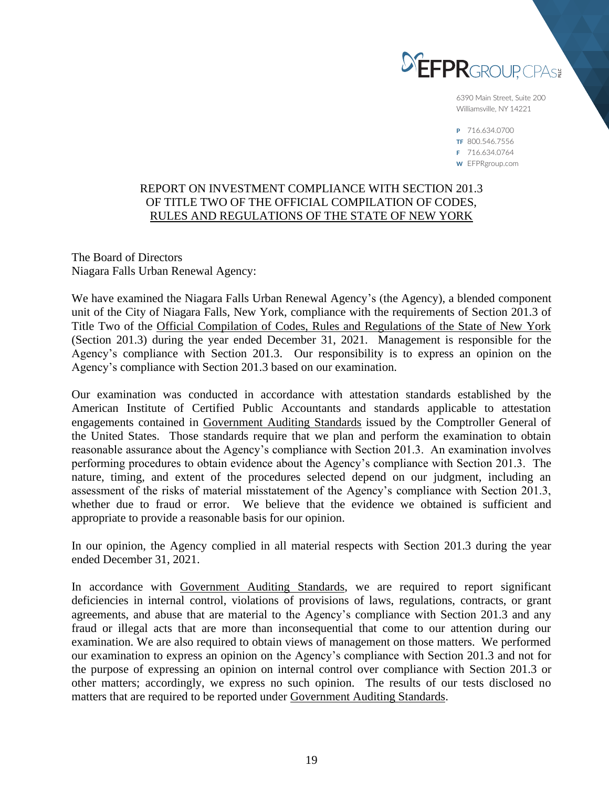

6390 Main Street, Suite 200 Williamsville, NY 14221

P 716.634.0700 TF 800.546.7556 F 716.634.0764 W EFPRgroup.com

## REPORT ON INVESTMENT COMPLIANCE WITH SECTION 201.3 OF TITLE TWO OF THE OFFICIAL COMPILATION OF CODES, RULES AND REGULATIONS OF THE STATE OF NEW YORK

The Board of Directors Niagara Falls Urban Renewal Agency:

We have examined the Niagara Falls Urban Renewal Agency's (the Agency), a blended component unit of the City of Niagara Falls, New York, compliance with the requirements of Section 201.3 of Title Two of the Official Compilation of Codes, Rules and Regulations of the State of New York (Section 201.3) during the year ended December 31, 2021. Management is responsible for the Agency's compliance with Section 201.3. Our responsibility is to express an opinion on the Agency's compliance with Section 201.3 based on our examination.

Our examination was conducted in accordance with attestation standards established by the American Institute of Certified Public Accountants and standards applicable to attestation engagements contained in Government Auditing Standards issued by the Comptroller General of the United States. Those standards require that we plan and perform the examination to obtain reasonable assurance about the Agency's compliance with Section 201.3. An examination involves performing procedures to obtain evidence about the Agency's compliance with Section 201.3. The nature, timing, and extent of the procedures selected depend on our judgment, including an assessment of the risks of material misstatement of the Agency's compliance with Section 201.3, whether due to fraud or error. We believe that the evidence we obtained is sufficient and appropriate to provide a reasonable basis for our opinion.

In our opinion, the Agency complied in all material respects with Section 201.3 during the year ended December 31, 2021.

In accordance with Government Auditing Standards, we are required to report significant deficiencies in internal control, violations of provisions of laws, regulations, contracts, or grant agreements, and abuse that are material to the Agency's compliance with Section 201.3 and any fraud or illegal acts that are more than inconsequential that come to our attention during our examination. We are also required to obtain views of management on those matters. We performed our examination to express an opinion on the Agency's compliance with Section 201.3 and not for the purpose of expressing an opinion on internal control over compliance with Section 201.3 or other matters; accordingly, we express no such opinion. The results of our tests disclosed no matters that are required to be reported under Government Auditing Standards.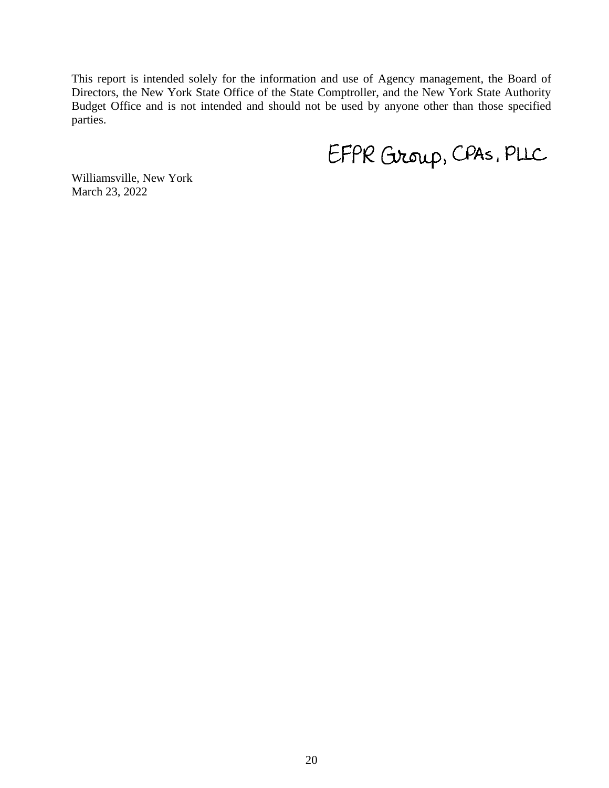This report is intended solely for the information and use of Agency management, the Board of Directors, the New York State Office of the State Comptroller, and the New York State Authority Budget Office and is not intended and should not be used by anyone other than those specified parties.

EFPR Group, CPAS, PLLC

Williamsville, New York March 23, 2022